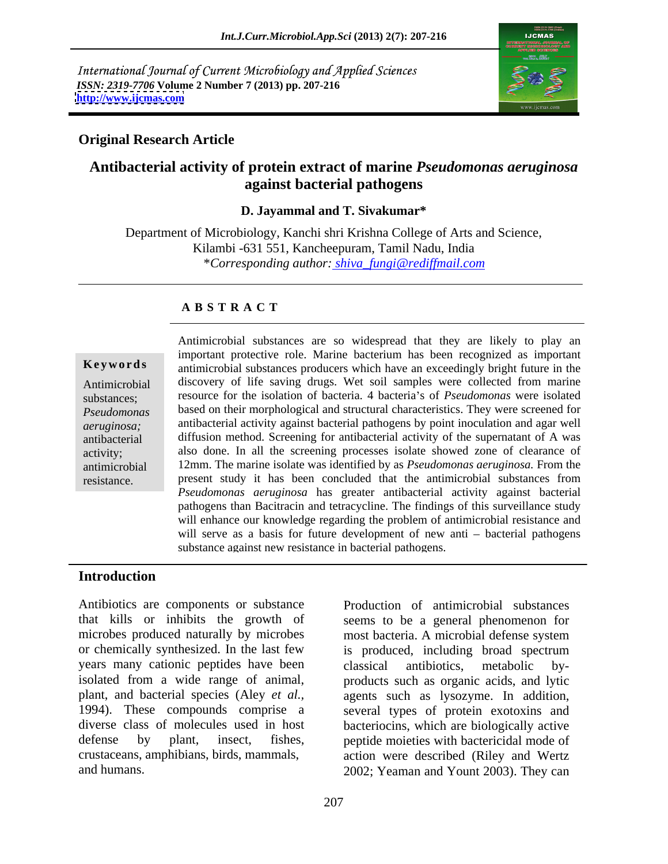International Journal of Current Microbiology and Applied Sciences *ISSN: 2319-7706* **Volume 2 Number 7 (2013) pp. 207-216 <http://www.ijcmas.com>**



## **Original Research Article**

## **Antibacterial activity of protein extract of marine** *Pseudomonas aeruginosa* **against bacterial pathogens**

### **D. Jayammal and T. Sivakumar\***

Department of Microbiology, Kanchi shri Krishna College of Arts and Science, Kilambi -631 551, Kancheepuram, Tamil Nadu, India \**Corresponding author: shiva\_fungi@rediffmail.com*

### **A B S T R A C T**

**Keywords** antimicrobial substances producers which have an exceedingly bright future in the Antimicrobial discovery of life saving drugs. Wet soil samples were collected from marine substances; resource for the isolation of bacteria. 4 bacteria's of *Pseudomonas* were isolated *Pseudomonas*  based on their morphological and structural characteristics. They were screened for *aeruginosa;* antibacterial activity against bacterial pathogens by point inoculation and agar well antibacterial diffusion method. Screening for antibacterial activity of the supernatant of A was activity; also done. In all the screening processes isolate showed zone of clearance of antimicrobial 12mm. The marine isolate was identified by as *Pseudomonas aeruginosa.* From the Antimicrobial substances are so widespread that they are likely to play an<br>
important protective role. Marine bacterium has been recognized as important<br>
antimicrobial substances producers which have an exceedingly bright important protective role. Marine bacterium has been recognized as important present study it has been concluded that the antimicrobial substances from *Pseudomonas aeruginosa* has greater antibacterial activity against bacterial pathogens than Bacitracin and tetracycline. The findings of this surveillance study will enhance our knowledge regarding the problem of antimicrobial resistance and will serve as a basis for future development of new anti  $-$  bacterial pathogens substance against new resistance in bacterial pathogens.

### **Introduction**

Antibiotics are components or substance Production of antimicrobial substances that kills or inhibits the growth of seems to be a general phenomenon for microbes produced naturally by microbes most bacteria. A microbial defense system or chemically synthesized. In the last few is produced, including broad spectrum years many cationic peptides have been classical antibiotics, metabolic byisolated from a wide range of animal, products such as organic acids, and lytic plant, and bacterial species (Aley *et al.,* agents such as lysozyme. In addition, 1994). These compounds comprise a several types of protein exotoxins and diverse class of molecules used in host bacteriocins, which are biologically active defense by plant, insect, fishes, peptide moieties with bactericidal mode of crustaceans, amphibians, birds, mammals, action were described (Riley and Wertz

and humans. 2002; Yeaman and Yount 2003). They can is produced, including broad spectrum classical antibiotics, metabolic by-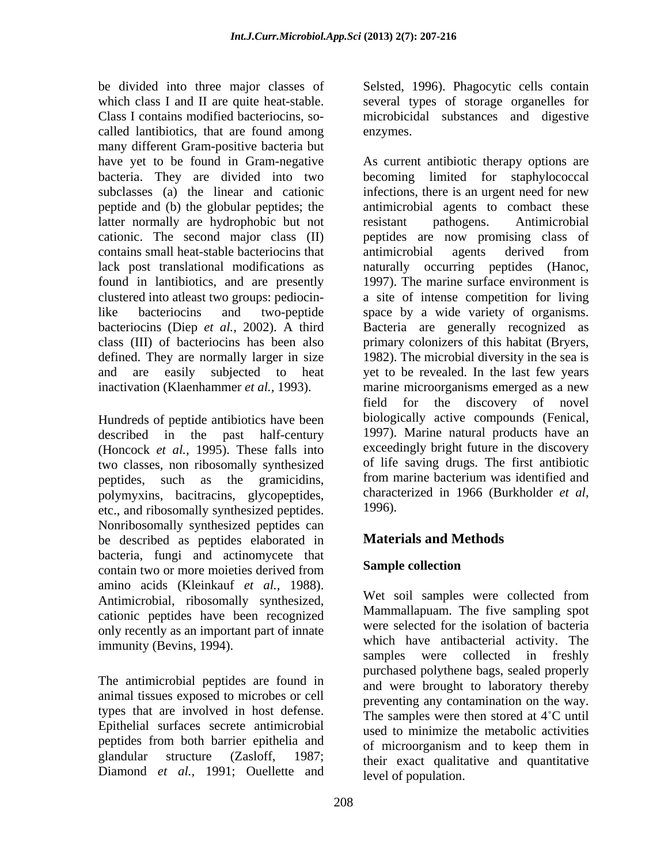be divided into three major classes of Selsted, 1996). Phagocytic cells contain which class I and II are quite heat-stable. Class I contains modified bacteriocins, so- microbicidal substances and digestive called lantibiotics, that are found among many different Gram-positive bacteria but have yet to be found in Gram-negative As current antibiotic therapy options are bacteria. They are divided into two latter normally are hydrophobic but not<br>cationic. The second major class (II) beptides are now promising class of contains small heat-stable bacteriocins that found in lantibiotics, and are presently clustered into atleast two groups: pediocindefined. They are normally larger in size

Hundreds of peptide antibiotics have been described in the past half-century (Honcock *et al.,* 1995). These falls into two classes, non ribosomally synthesized of life saving drugs. The first antibiotic pentides such as the gramiciding from marine bacterium was identified and peptides, such as the gramicidins, from marine-bacterium was identified and polymyrins bacitracins glycopentides characterized in 1966 (Burkholder *et al.*) polymyxins, bacitracins, glycopeptides, etc., and ribosomally synthesized peptides. 1996). Nonribosomally synthesized peptides can be described as peptides elaborated in bacteria, fungi and actinomycete that<br>contain two or more moioties derived from **Sample collection** contain two or more moieties derived from **Sample collection** amino acids (Kleinkauf *et al.,* 1988). Antimicrobial, ribosomally synthesized, cationic peptides have been recognized only recently as an important part of innate immunity (Bevins, 1994).

The antimicrobial peptides are found in animal tissues exposed to microbes or cell types that are involved in host defense. Epithelial surfaces secrete antimicrobial peptides from both barrier epithelia and of microorganism and to keep them in Diamond *et al.,* 1991; Ouellette and

enzymes. becoming limited for staphylococcal

several types of storage organelles for

subclasses (a) the linear and cationic infections, there is an urgent need for new peptide and (b) the globular peptides; the antimicrobial agents to combact these cationic. The second major class (II) peptides are now promising class of lack post translational modifications as naturally occurring peptides (Hanoc, like bacteriocins and two-peptide space by a wide variety of organisms. bacteriocins (Diep *et al.,* 2002). A third Bacteria are generally recognized as class (III) of bacteriocins has been also primary colonizers of this habitat (Bryers, and are easily subjected to heat yet to be revealed. In the last few years inactivation (Klaenhammer *et al.,* 1993). marine microorganisms emerged as a new resistant pathogens. Antimicrobial antimicrobial agents derived from 1997). The marine surface environment is a site of intense competition for living 1982). The microbial diversity in the sea is field for the discovery of novel biologically active compounds (Fenical, 1997). Marine natural products have an exceedingly bright future in the discovery of life saving drugs. The first antibiotic from marine bacterium was identified and characterized in <sup>1966</sup> (Burkholder *et al*, 1996).

## **Materials and Methods**

## **Sample collection**

glandular structure (Zasloff, 1987; their exact qualitative and quantitative Wet soil samples were collected from Mammallapuam. The five sampling spot were selected for the isolation of bacteria which have antibacterial activity. The samples were collected in freshly purchased polythene bags, sealed properly and were brought to laboratory thereby preventing any contamination on the way. The samples were then stored at  $4^{\circ}$ C until used to minimize the metabolic activities of microorganism and to keep them in level of population.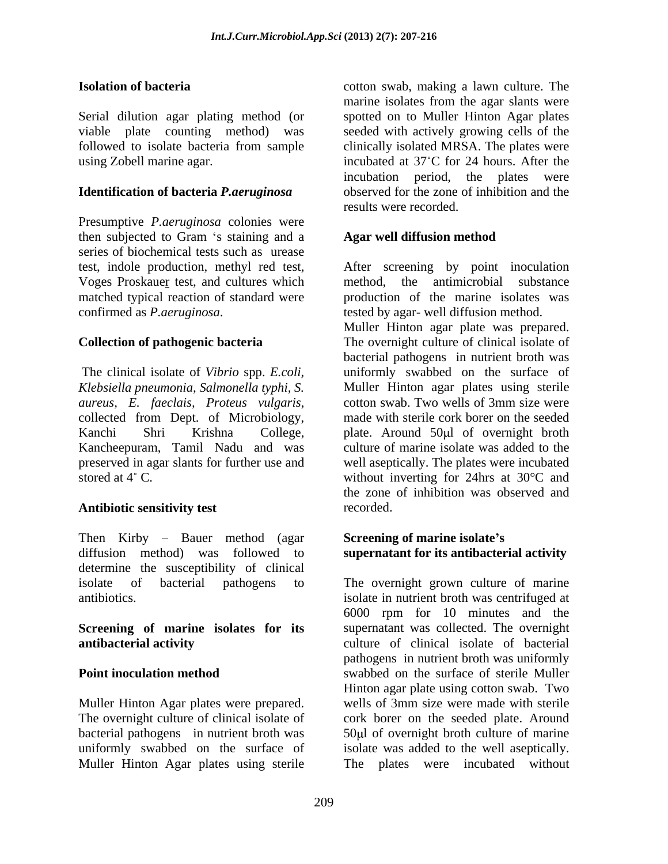Serial dilution agar plating method (or viable plate counting method) was seeded with actively growing cells of the followed to isolate bacteria from sample clinically isolated MRSA. The plates were using Zobell marine agar. incubated at 37°C for 24 hours. After the

## **Identification of bacteria** *P.aeruginosa*

Presumptive *P.aeruginosa* colonies were then subjected to Gram 's staining and a **Agar well diffusion method** series of biochemical tests such as urease test, indole production, methyl red test, After screening by point inoculation Voges Proskauer test, and cultures which method, the antimicrobial substance matched typical reaction of standard were production of the marine isolates was matched typical reaction of standard were production of the marine isolates was confirmed as *P.aeruginosa*. tested by agar- well diffusion method.

The clinical isolate of *Vibrio* spp. *E.coli,* 

### **Antibiotic sensitivity test**

Then Kirby – Bauer method (agar<br>diffusion method) was followed to diffusion method) was followed to **supernatant for its antibacterial activity** determine the susceptibility of clinical isolate of bacterial pathogens to The overnight grown culture of marine

## **Screening of marine isolates for its**

Muller Hinton Agar plates were prepared. Wells of 3mm size were made with sterile The overnight culture of clinical isolate of Muller Hinton Agar plates using sterile

**Isolation of bacteria** cotton swab, making a lawn culture. The marine isolates from the agar slants were spotted on to Muller Hinton Agar plates clinically isolated MRSA. The plates were incubation period, the plates were observed for the zone of inhibition and the results were recorded.

## **Agar well diffusion method**

**Collection of pathogenic bacteria** The overnight culture of clinical isolate of method, the antimicrobial Muller Hinton agar plate was prepared.

*Klebsiella pneumonia, Salmonella typhi, S.*  Muller Hinton agar plates using sterile *aureus, E. faeclais, Proteus vulgaris,* cotton swab. Two wells of 3mm size were collected from Dept. of Microbiology, made with sterile cork borer on the seeded Kanchi Shri Krishna College, plate. Around 50µl of overnight broth Kancheepuram, Tamil Nadu and was culture of marine isolate was added to the preserved in agar slants for further use and well aseptically. The plates were incubated stored at  $4^{\circ}$  C. without inverting for 24hrs at  $30^{\circ}$ C and bacterial pathogens in nutrient broth was uniformly swabbed on the surface of cotton swab. Two wells of 3mm size were made with sterile cork borer on the seeded the zone of inhibition was observed and recorded.

# **Screening of marine isolate s**

antibiotics. isolate in nutrient broth was centrifuged at **antibacterial activity** and **culture** of clinical isolate of bacterial **Point inoculation method** swabbed on the surface of sterile Muller bacterial pathogens in nutrient broth was 50µl of overnight broth culture of marine uniformly swabbed on the surface of isolate was added to the well aseptically. 6000 rpm for 10 minutes and the supernatant was collected. The overnight pathogens in nutrient broth was uniformly Hinton agar plate using cotton swab. Two wells of 3mm size were made with sterile cork borer on the seeded plate. Around The plates were incubated without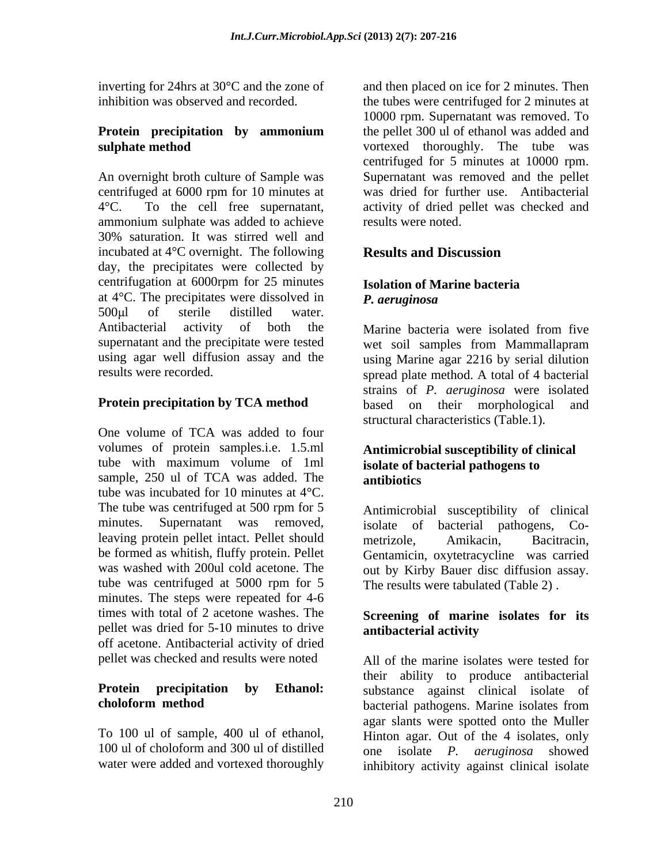inverting for 24hrs at 30°C and the zone of

An overnight broth culture of Sample was Supernatant was removed and the pellet centrifuged at 6000 rpm for 10 minutes at  $4^{\circ}$ C. To the cell free supernations, 4°C. To the cell free supernatant, activity of dried pellet was checked and ammonium sulphate was added to achieve 30% saturation. It was stirred well and incubated at 4°C overnight. The following day, the precipitates were collected by centrifugation at 6000rpm for 25 minutes<br> **Isolation of Marine bacteria** at  $4^{\circ}$ C. The precipitates were dissolved in **P.** aeruginosa  $500 \mu$ l of sterile distilled water. Antibacterial activity of both the Marine bacteria were isolated from five supernatant and the precipitate were tested wet soil samples from Mammallapram using agar well diffusion assay and the using Marine agar 2216 by serial dilution

One volume of TCA was added to four volumes of protein samples.i.e. 1.5.ml tube with maximum volume of 1ml isolate of bacterial pathogens to sample, 250 ul of TCA was added. The **antibiotics** tube was incubated for 10 minutes at  $4^{\circ}$ C.<br>The tube was centrifuged at 500 rpm for 5 Antimicrobial susceptibility of clinical minutes. Supernatant was removed, isolate of bacterial pathogens, Co leaving protein pellet intact. Pellet should metrizole, Amikacin, Bacitracin, be formed as whitish, fluffy protein. Pellet was washed with 200ul cold acetone. The out by Kirby Bauer disc diffusion assay. tube was centrifuged at 5000 rpm for 5 minutes. The steps were repeated for 4-6 times with total of 2 acetone washes. The **Screening of marine isolates for its** pellet was dried for 5-10 minutes to drive antibacterial activity off acetone. Antibacterial activity of dried pellet was checked and results were noted

100 ul of choloform and 300 ul of distilled one isolate P. *aeruginosa* showed

inhibition was observed and recorded. the tubes were centrifuged for 2 minutes at **Protein precipitation by ammonium sulphate method** vortexed thoroughly. The tube was and then placed on ice for 2 minutes. Then 10000 rpm. Supernatant was removed. To the pellet 300 ul of ethanol was added and centrifuged for 5 minutes at 10000 rpm. was dried for further use. Antibacterial results were noted.

## **Results and Discussion**

## **Isolation of Marine bacteria** *P. aeruginosa*

results were recorded. spread plate method. A total of 4 bacterial **Protein precipitation by TCA method** based on their morphological and Marine bacteria were isolated from five wet soil samples from Mammallapram strains of *P. aeruginosa* were isolated structural characteristics (Table.1).

### **Antimicrobial susceptibility of clinical isolate of bacterial pathogens to antibiotics**

Antimicrobial susceptibility of clinical metrizole, Amikacin, Bacitracin, Gentamicin, oxytetracycline was carried The results were tabulated (Table 2) .

# **antibacterial activity**

**Protein precipitation by Ethanol:** substance against clinical isolate of **choloform method bacterial pathogens.** Marine isolates from To 100 ul of sample, 400 ul of ethanol, Hinton agar. Out of the 4 isolates, only water were added and vortexed thoroughly inhibitory activity against clinical isolate All of the marine isolates were tested for their ability to produce antibacterial bacterial pathogens. Marine isolates from agar slants were spotted onto the Muller one isolate *P. aeruginosa*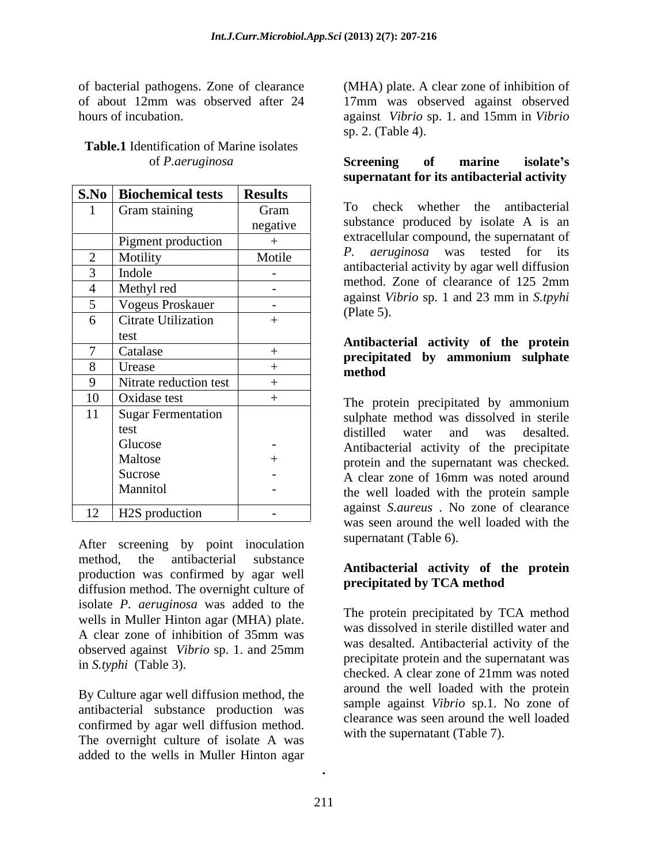of bacterial pathogens.Zone of clearance

| Table.1 Identification of Marine isolates |           |    |        |         |  |
|-------------------------------------------|-----------|----|--------|---------|--|
| 'aeruginosa                               | Screening | ot | marine | 'solate |  |

| <b>S.No</b>   Biochemical tests | <b>Results</b> |                                                                                      |
|---------------------------------|----------------|--------------------------------------------------------------------------------------|
| Gram staining                   | Gram           | whether the antibacterial<br>To check                                                |
|                                 | negative       | substance produced by isolate A is an                                                |
| Pigment production              |                | extracellular compound, the supernatant of                                           |
| Motility                        | Motile         | P. aeruginosa was tested for its                                                     |
| Indole                          | $\sim$         | antibacterial activity by agar well diffusion                                        |
| Methyl red                      | $\sim$         | method. Zone of clearance of 125 2mm                                                 |
| <b>Vogeus Proskauer</b>         | $\sim$ 10 $\,$ | against Vibrio sp. 1 and 23 mm in S.tpyhi                                            |
| Citrate Utilization             |                | (Plate 5).                                                                           |
| test                            |                |                                                                                      |
| Catalase                        |                | Antibacterial activity of the protein<br>precipitated by ammonium sulphate<br>method |
| Urease                          |                |                                                                                      |
| Nitrate reduction test          |                |                                                                                      |
| Oxidase test                    |                | The protein precipitated by ammonium                                                 |
| Sugar Fermentation              |                | sulphate method was dissolved in sterile                                             |
| test                            |                | distilled water and was desalted.                                                    |
| Glucose                         |                | Antibacterial activity of the precipitate                                            |
| Maltose                         |                | protein and the supernatant was checked.                                             |
| Sucrose                         |                | A clear zone of 16mm was noted around                                                |
| Mannitol                        |                | the well loaded with the protein sample                                              |
| H2S production                  |                | against S.aureus. No zone of clearance<br>weg soon ground the well loaded with the   |

After screening by point inoculation method, the antibacterial substance production was confirmed by agar well diffusion method. The overnight culture of isolate *P. aeruginosa* was added to the wells in Muller Hinton agar (MHA) plate. A clear zone of inhibition of 35mm was

By Culture agar well diffusion method, the antibacterial substance production was confirmed by agar well diffusion method. The overnight culture of isolate A was added to the wells in Muller Hinton agar

of about 12mm was observed after 24 hours of incubation. against *Vibrio* sp. 1. and 15mm in *Vibrio* (MHA) plate. A clear zone of inhibition of 17mm was observed against observed sp. 2. (Table 4).

### of *P.aeruginosa* **Screening of marine isolate s supernatant for its antibacterial activity**

1 Gram staining To check whether the antibacterial negative substance produced by isolate A is an Pigment production  $\begin{vmatrix} + & \cdot & \cdot \\ \cdot & \cdot & \cdot \end{vmatrix}$  extrace unit compound, the supernature of 2 Motility 1. Motile  $\begin{array}{ccc} 2 & \text{Meumann} \\ \text{2} & \text{Meumann} \end{array}$  Motile  $\begin{array}{ccc} 2 & \text{Meumann} \\ \text{2} & \text{Meumann} \end{array}$  $3$  | Indole |  $\frac{3}{2}$  |  $\frac{3}{2}$  |  $\frac{3}{2}$  |  $\frac{3}{2}$  |  $\frac{3}{2}$  |  $\frac{3}{2}$  |  $\frac{3}{2}$  |  $\frac{3}{2}$  |  $\frac{3}{2}$  |  $\frac{3}{2}$  |  $\frac{3}{2}$  |  $\frac{3}{2}$  |  $\frac{3}{2}$  |  $\frac{3}{2}$  |  $\frac{3}{2}$  |  $\frac{3}{2}$  |  $\frac{3}{2}$  |  $\$  $4$  Methyl red  $\qquad \qquad$  -  $\qquad \qquad$  method. Zone of clearance of 125  $\text{2mm}$  $5$  Vogeus Proskauer  $\begin{vmatrix} -1 & 0 & \text{arg} \\ 0 & -1 & \text{diag} \end{vmatrix}$  and  $\begin{vmatrix} 2 & \text{min} & \text{min} \\ 2 & \text{min} & \text{min} \end{vmatrix}$  $+$   $\left\langle \begin{array}{c} \text{trace } S \end{array} \right\rangle$ To check whether the antibacterial extracellular compound, the supernatant of *P. aeruginosa* was tested for its antibacterial activity by agar well diffusion method. Zone of clearance of 125 2mm against *Vibrio* sp. 1 and 23 mm in *S.tpyhi*  (Plate 5).

### precipitated by ammonium sulphate  $8 \t| Urease + \t|_{\text{method}}$ **precipitated by ammonium sulphate method**

The protein precipitated by ammonium 11 | Sugar Fermentation | sulphate method was dissolved in sterile distilled water and was desalted. Glucose  $\begin{vmatrix} - & \cdot & \cdot \\ \cdot & \cdot & \cdot \end{vmatrix}$  Antibacterial activity of the precipitate Maltose  $\left| + \right|$  protein and the supernatant was checked. Sucrose **A** clear zone of 16mm was noted around Glucose<br>
Maltose + Antibacterial activity of the precipitate<br>
Sucrose + A clear zone of 16mm was noted around<br>
Mannitol - <br>
A clear zone of 16mm was noted around<br>
the well loaded with the protein sample - the well loaded with the protein sample 12 | H2S production | - | against *stateus* to zone of clearance The protein precipitated by ammonium distilled water and was desalted. against *S.aureus* . No zone of clearance was seen around the well loaded with the supernatant (Table 6).

## **Antibacterial activity of the protein precipitated by TCA method**

observed against *Vibrio* sp.1. and 25mm in *S.typhi* (Table 3). Precipitate protein and the supernatant was checked. A clear zone of 21mm was noted The protein precipitated by TCA method was dissolved in sterile distilled water and was desalted. Antibacterial activity of the precipitate protein and the supernatant was checked. A clear zone of 21mm was noted around the well loaded with the protein sample against *Vibrio* sp.1. No zone of clearance was seen around the well loaded with the supernatant (Table 7).

**.**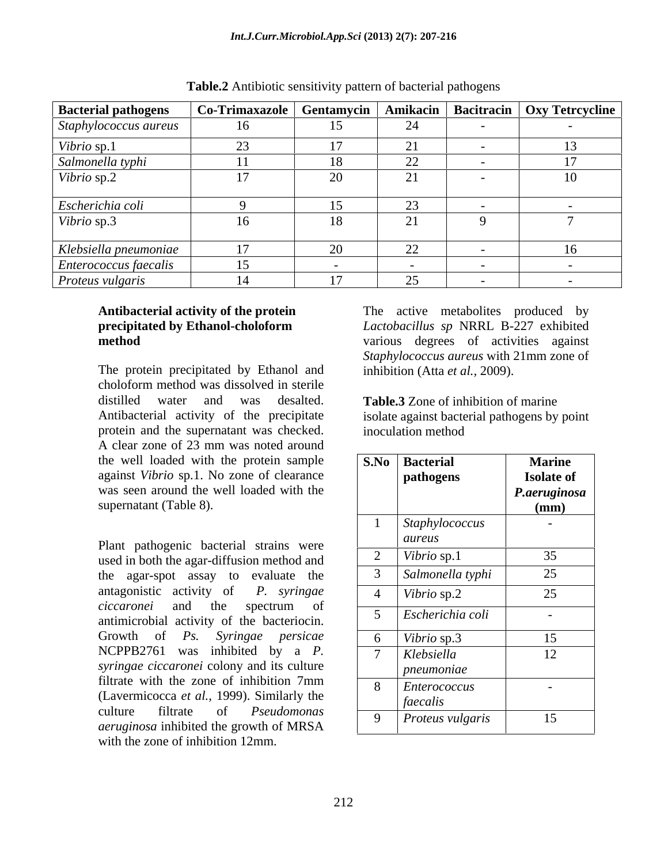| <b>Bacterial pathogens</b>   | <b>Co-Trimaxazole</b> | Gentamycin      |    | Amikacin   Bacitracin   Oxy Tetrcycline |
|------------------------------|-----------------------|-----------------|----|-----------------------------------------|
| Staphylococcus aureus        | 16                    | 12              |    |                                         |
| Vibrio sp.1                  | 23                    |                 | 21 |                                         |
| Salmonella typhi             |                       | 18              | 22 |                                         |
| Vibrio sp.2                  | T /                   | $\bigcap$<br>ZU | 21 | 10                                      |
| Escherichia coli             |                       | ◝               | 23 |                                         |
| Vibrio sp.3                  | 16                    | 18              |    |                                         |
| Klebsiella pneumoniae        | 17                    | 20              | 22 | 16                                      |
| <i>Enterococcus faecalis</i> | 15                    |                 |    |                                         |
| Proteus vulgaris             | 14                    |                 | 25 |                                         |

**Table.2** Antibiotic sensitivity pattern of bacterial pathogens

The protein precipitated by Ethanol and choloform method was dissolved in sterile distilled water and was desalted. **Table.3** Zone of inhibition of marine Antibacterial activity of the precipitate isolate against bacterial pathogens by point protein and the supernatant was checked. **inoculation method** A clear zone of 23 mm was noted around the well loaded with the protein sample against *Vibrio* sp.1. No zone of clearance was seen around the well loaded with the supernatant (Table 8).

Plant pathogenic bacterial strains were used in both the agar-diffusion method and the agar-spot assay to evaluate the antimicrobial activity of the bacteriocin. NCPPB2761 was inhibited by a *P. syringae ciccaronei* colony and its culture filtrate with the zone of inhibition 7mm (Lavermicocca *et al.,* 1999). Similarly the *aeruginosa* inhibited the growth of MRSA with the zone of inhibition 12mm.

Antibacterial activity of the protein The active metabolites produced by **precipitated by Ethanol-choloform**  *Lactobacillus sp* NRRL B-227 exhibited **method** various degrees of activities against *Staphylococcus aureus* with 21mm zone of inhibition (Atta *et al.,* 2009).

inoculation method

| the well loaded with the protein sample<br>against Vibrio sp.1. No zone of clearance<br>was seen around the well loaded with the<br>supernatant (Table 8). | <b>S.No</b> Bacterial<br>  pathogens | <b>Marine</b><br><b>Isolate of</b><br>P.aeruginosa<br>$(\mathbf{mm})$ |  |  |  |  |
|------------------------------------------------------------------------------------------------------------------------------------------------------------|--------------------------------------|-----------------------------------------------------------------------|--|--|--|--|
|                                                                                                                                                            | Staphylococcus<br>aureus             |                                                                       |  |  |  |  |
| Plant pathogenic bacterial strains were<br>used in both the agar-diffusion method and                                                                      | Vibrio sp.1                          | 35                                                                    |  |  |  |  |
| the agar-spot assay to evaluate the                                                                                                                        | Salmonella typhi                     | 25                                                                    |  |  |  |  |
| antagonistic activity of P. syringae                                                                                                                       | Vibrio sp.2                          | 25                                                                    |  |  |  |  |
| ciccaronei and the spectrum of<br>antimicrobial activity of the bacteriocin.                                                                               | Escherichia coli                     |                                                                       |  |  |  |  |
| Growth of Ps. Syringae persicae                                                                                                                            | Vibrio sp.3                          | 15                                                                    |  |  |  |  |
| $NCPPB2761$ was inhibited by a $P$ .<br>syringae ciccaronei colony and its culture                                                                         | Klebsiella<br>pneumoniae             | 12                                                                    |  |  |  |  |
| filtrate with the zone of inhibition 7mm<br>(Lavermicocca et al., 1999). Similarly the                                                                     | Enterococcus<br>faecalis             |                                                                       |  |  |  |  |
| Pseudomonas<br>culture filtrate<br>- of<br><i>aeruginosa</i> inhibited the growth of MRSA                                                                  | Proteus vulgaris                     | 15                                                                    |  |  |  |  |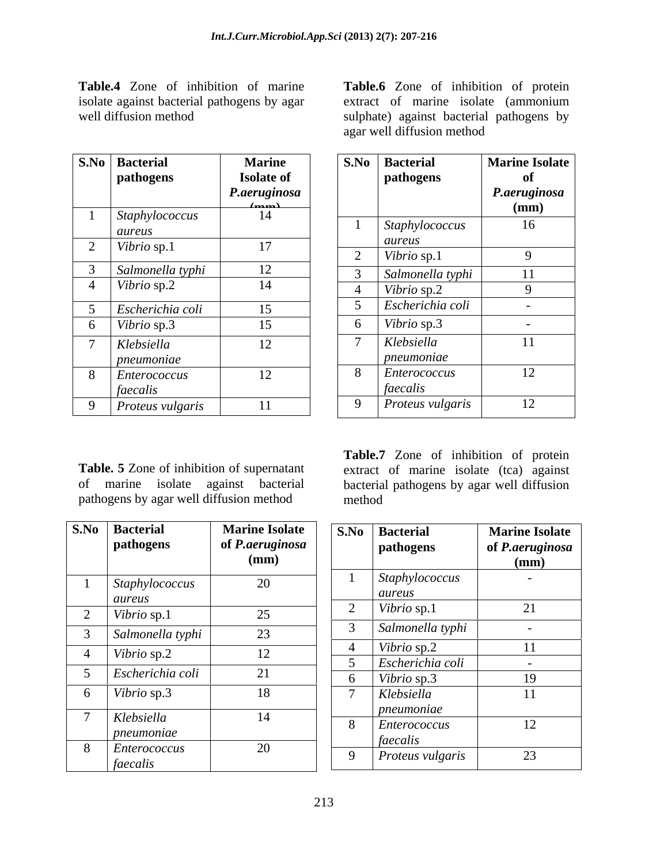isolate against bacterial pathogens by agar

| S.No           | <b>Bacterial</b><br>pathogens   | <b>Marine</b><br><b>Isolate of</b> |
|----------------|---------------------------------|------------------------------------|
|                |                                 | P.aeruginosa<br>$\sim$             |
| $\mathbf{1}$   | <i>Staphylococcus</i><br>aureus | 14                                 |
| $\overline{2}$ | Vibrio sp.1                     | 17                                 |
| 3              | Salmonella typhi                | 12                                 |
| $\overline{4}$ | Vibrio sp.2                     | 14                                 |
| 5              | Escherichia coli                | 15                                 |
| 6              | Vibrio sp.3                     | 15                                 |
| 7              | Klebsiella<br>pneumoniae        | 12                                 |
| 8              | Enterococcus<br>faecalis        | 12                                 |
| 9              | Proteus vulgaris                | 11                                 |

pathogens by agar well diffusion method

| S.No           | <b>Bacterial</b><br>pathogens | <b>Marine Isolate</b><br>of P.aeruginosa<br>(mm) | S.No           | <b>Bacterial</b><br>pathogens                 | <b>Marine Isolate</b><br>of <i>P.aeruginosa</i><br>(mm) |
|----------------|-------------------------------|--------------------------------------------------|----------------|-----------------------------------------------|---------------------------------------------------------|
|                | Staphylococcus<br>aureus      | 20                                               |                | Staphylococcus<br>aureus                      |                                                         |
| $\overline{2}$ | Vibrio sp.1                   | 25                                               | $\bigcap$<br>∠ | Vibrio sp.1                                   | 21                                                      |
| 3              | Salmonella typhi              | 23                                               | 3              | Salmonella typhi                              | $\sim$                                                  |
| 4              | Vibrio sp.2                   | 12                                               | $\overline{4}$ | Vibrio sp.2                                   |                                                         |
|                |                               |                                                  |                | Escherichia coli                              | $\sim$                                                  |
|                | Escherichia coli              | 21                                               | 6              | Vibrio sp.3                                   | 19                                                      |
| 6              | Vibrio sp.3                   | 18                                               | $\mathbf{r}$   | Klebsiella                                    | 11                                                      |
|                | Klebsiella<br>pneumoniae      | 14                                               | 8              | pneumoniae<br><i>Enterococcus</i><br>faecalis | 12                                                      |
| 8              | Enterococcus<br>faecalis      | 20                                               | 9              | Proteus vulgaris                              | 23                                                      |

**Table.4** Zone of inhibition of marine **Table.6** Zone of inhibition of protein well diffusion method sulphate) against bacterial pathogens by extract of marine isolate (ammonium agar well diffusion method

| S.No   Bacterial<br>pathogens | <b>Marine</b><br><b>Isolate of</b><br>P.aeruginosa<br>(mm) | S.No   Bacterial<br>pathogens | Marine Isolate<br>оf<br>P.aeruginosa |
|-------------------------------|------------------------------------------------------------|-------------------------------|--------------------------------------|
| Staphylococcus<br>aureus      | 14                                                         | Staphylococcus                | (mm)<br>16                           |
| Vibrio sp.1                   | 17                                                         | aureus<br>Vibrio sp.1         |                                      |
| Salmonella typhi              | 12                                                         | Salmonella typhi              |                                      |
| Vibrio sp.2                   | 14                                                         | Vibrio sp.2                   |                                      |
| Escherichia coli              | 15                                                         | Escherichia coli              |                                      |
| Vibrio sp.3                   | 15                                                         | Vibrio sp.3                   |                                      |
| Klebsiella<br>pneumoniae      | 12                                                         | Klebsiella<br>pneumoniae      | 11                                   |
| Enterococcus<br>faecalis      | 12                                                         | Enterococcus<br>faecalis      | 12                                   |
| Proteus vulgaris              | 11                                                         | Proteus vulgaris              | 12                                   |

**Table. 5** Zone of inhibition of supernatant extract of marine isolate (tca) against of marine isolate against bacterial bacterial pathogens by agar well diffusion **Table.7** Zone of inhibition of protein method

| S.No                    | <b>Bacterial</b><br>pathogens | <b>Marine Isolate</b><br>of P.aeruginosa<br>(mm) |     | S.No Bacterial<br>pathogens     | <b>Marine Isolate</b><br>of P.aeruginosa<br>(mm) |
|-------------------------|-------------------------------|--------------------------------------------------|-----|---------------------------------|--------------------------------------------------|
|                         | Staphylococcus<br>aureus      | 20                                               |     | Staphylococcus<br>aureus        | $\sim$                                           |
| $\bigcap$<br>$\epsilon$ | Vibrio sp.1                   | 25                                               |     | Vibrio sp.1                     |                                                  |
| $\mathcal{L}$           | Salmonella typhi              | 23                                               |     | Salmonella typhi                |                                                  |
| $\overline{4}$          | Vibrio sp.2                   | 12                                               |     | Vibrio sp.2                     |                                                  |
|                         | Escherichia coli              | 21                                               |     | Escherichia coli<br>Vibrio sp.3 | 19                                               |
| 6                       | Vibrio sp.3                   | 18                                               |     | Klebsiella                      |                                                  |
| $\overline{ }$          | Klebsiella                    | 14                                               | - 8 | pneumoniae<br>Enterococcus      | 12                                               |
|                         | pneumoniae                    |                                                  |     | faecalis                        |                                                  |
| 8                       | Enterococcus<br>faecalis      | 20                                               |     | Proteus vulgaris                | 23                                               |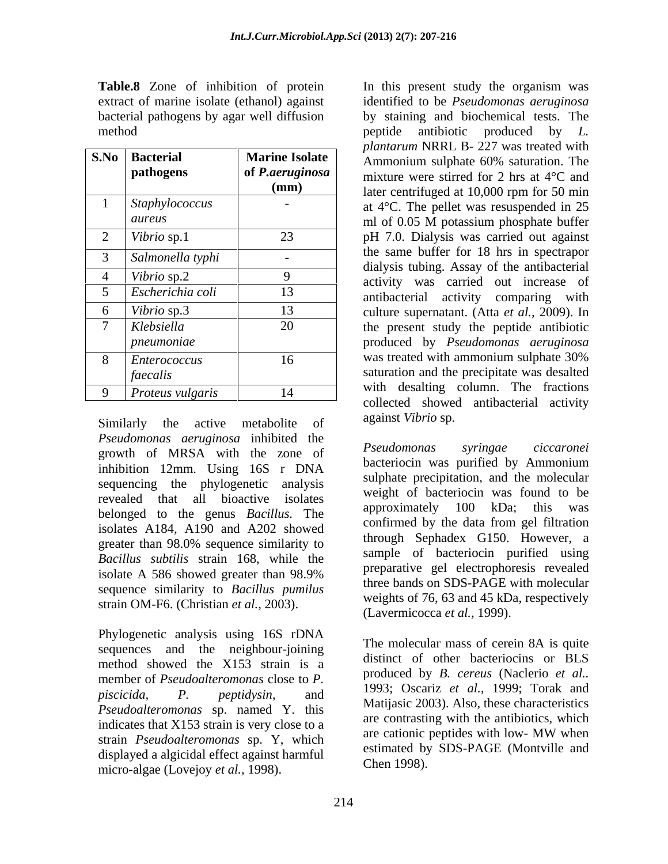|      |                  |                        | <i>planiarum</i> INNNL D- $221$ was dealed with                                          |
|------|------------------|------------------------|------------------------------------------------------------------------------------------|
| S.No | <b>Bacterial</b> | <b>Marine Isolate</b>  | Ammonium sulphate 60% saturation. The                                                    |
|      | pathogens        | of <i>P.aeruginosa</i> | mixture were stirred for 2 hrs at $4^{\circ}$ C and                                      |
|      |                  | (mm)                   | later centrifuged at 10,000 rpm for 50 min                                               |
|      | Staphylococcus   |                        | at $4^{\circ}$ C. The pellet was resuspended in 25                                       |
|      | aureus           |                        | ml of 0.05 M potassium phosphate buffer                                                  |
|      | Vibrio sp.1      | 23                     | pH 7.0. Dialysis was carried out against                                                 |
|      | Salmonella typhi |                        | the same buffer for 18 hrs in spectrapor                                                 |
|      | Vibrio sp.2      |                        | dialysis tubing. Assay of the antibacterial                                              |
|      | Escherichia coli | 13                     | activity was carried out increase of                                                     |
|      | Vibrio sp.3      | 13                     | antibacterial activity comparing with                                                    |
|      | Klebsiella       | 20                     | culture supernatant. (Atta et al., 2009). In<br>the present study the peptide antibiotic |
|      | pneumoniae       |                        | produced by <i>Pseudomonas aeruginosa</i>                                                |
| 8    | Enterococcus     | 16                     | was treated with ammonium sulphate 30%                                                   |
|      | faecalis         |                        | saturation and the precipitate was desalted                                              |
|      |                  |                        | with desalting column. The fractions                                                     |
|      | Proteus vulgaris |                        | collected charged entipectangle estimity                                                 |

Similarly the active metabolite of against viology. *Pseudomonas aeruginosa* inhibited the growth of MRSA with the zone of inhibition 12mm. Using 16S r DNA sequencing the phylogenetic analysis revealed that all bioactive isolates weight of bacteriocin was found to be<br>halogeard to the earning Basilly The approximately 100 kDa; this was belonged to the genus *Bacillus*. The isolates A184, A190 and A202 showed *Bacillus subtilis* strain 168, while the sequence similarity to *Bacillus pumilus* strain OM-F6. (Christian *et al.,* 2003).

Phylogenetic analysis using 16S rDNA sequences and the neighbour-joining method showed the X153 strain is a member of *Pseudoalteromonas* close to *P. piscicida, P. peptidysin*, and *Pseudoalteromonas* sp. named Y. this indicates that  $X153$  strain is very close to a<br>are cationic peptides with low- MW when<br>are cationic peptides with low- MW when strain *Pseudoalteromonas* sp. Y, which displayed a algicidal effect against harmful micro-algae (Lovejoy *et al.,* 1998).

**Table.8** Zone of inhibition of protein In this present study the organism was extract of marine isolate (ethanol) against identified to be *Pseudomonas aeruginosa* bacterial pathogens by agar well diffusion by staining and biochemical tests. The method peptide antibiotic produced by *L.*  **pathogens** of *P.aeruginosa* mixture were stirred for 2 hrs at 4<sup>o</sup>C and **(mm)** later centrifuged at 10,000 rpm for 50 min 1 *Staphylococcus* - at 4°C. The pellet was resuspended in 25 ml of 0.05 M potassium phosphate buffer 2 *Vibrio* sp.1 23 pH 7.0. Dialysis was carried out against 3 *Salmonella typhi* - 4 *Vibrio* sp.2 9 activity was carried out increase of 5 *Escherichia coli* 13 **antibacterial activity comparing with** 6 *Vibrio* sp.3 13 culture supernatant. (Atta *et al.,* 2009). In 7 *Klebsiella*  20 the present study the peptide antibiotic *pneumoniae* produced by *Pseudomonas aeruginosa* 8 *Enterococcus* 16 16 was treated with ammonium sulphate 30% faecalis **faecalis**(saturation and the precipitate was desalted 9 *Proteus vulgaris* 14 *plantarum* NRRL B- 227 was treated with Ammonium sulphate 60% saturation. The ml of 0.05 M potassium phosphate buffer the same buffer for 18 hrs in spectrapor dialysis tubing. Assay of the antibacterial was treated with ammonium sulphate 30% with desalting column. The fractions collected showed antibacterial activity against *Vibrio* sp.

greater than 98.0% sequence similarity to through Sephanex G150. However, a isolate A 586 showed greater than  $98.9\%$  preparative generation proposes revealed *Pseudomonas syringae ciccaronei* bacteriocin was purified by Ammonium sulphate precipitation, and the molecular weight of bacteriocin was found to be approximately 100 kDa; this was confirmed by the data from gel filtration through Sephadex G150. However, a sample of bacteriocin purified using preparative gel electrophoresis revealed three bands on SDS-PAGE with molecular weights of 76, 63 and 45 kDa, respectively (Lavermicocca *et al.,* 1999).

> The molecular mass of cerein 8A is quite distinct of other bacteriocins or BLS produced by *B. cereus* (Naclerio *et al..* 1993; Oscariz *et al.,* 1999; Torak and Matijasic 2003). Also, these characteristics are contrasting with the antibiotics, which are cationic peptides with low- MW when estimated by SDS-PAGE (Montville and Chen 1998).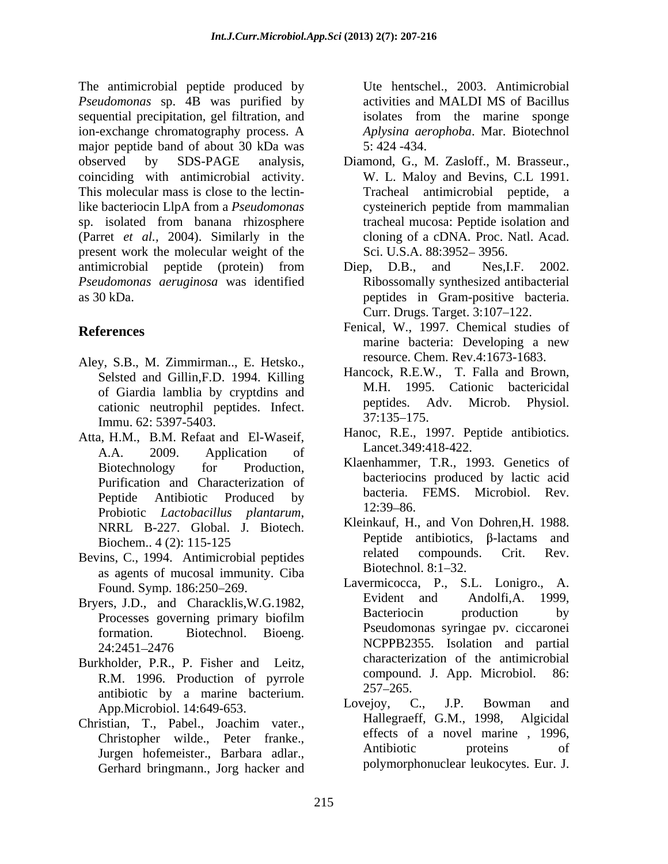The antimicrobial peptide produced by *Pseudomonas* sp. 4B was purified by sequential precipitation, gel filtration, and ion-exchange chromatography process. A major peptide band of about 30 kDa was 5:424 -434. observed by SDS-PAGE analysis, Diamond, G., M. Zasloff., M. Brasseur., coinciding with antimicrobial activity. This molecular mass is close to the lectinlike bacteriocin LlpA from a *Pseudomonas* sp. isolated from banana rhizosphere (Parret *et al.,* 2004). Similarly in the present work the molecular weight of the antimicrobial peptide (protein) from Diep, D.B., and Nes, I.F. 2002. *Pseudomonas aeruginosa* was identified as 30 kDa. peptides in Gram-positive bacteria.

- Aley, S.B., M. Zimmirman.., E. Hetsko., Selsted and Gillin,F.D. 1994. Killing cationic neutrophil peptides. Infect.  $P^{\text{peptides.}}$   $\frac{P^{\text{epptides.}}}{37:135-175.}$ Immu. 62: 5397-5403.
- Atta, H.M., B.M. Refaat and El-Waseif, A.A. 2009. Application of Purification and Characterization of Peptide Antibiotic Produced by bacteria.<br>
Reptidio Letteral illustration in the 12:39–86. Probiotic *Lactobacillus plantarum*, <sup>12:39–80</sup>.<br>NRRL B-227. Global. J. Biotech. Kleinkauf, H., and Von Dohren, H. 1988.
- as agents of mucosal immunity. Ciba
- Bryers, J.D., and Characklis, W.G.1982,<br>Brocesses governing primary biofilm Bacteriocin production by
- Burkholder, P.R., P. Fisher and Leitz,<br>
B.M. 1996, Dreduction of gymrels<br>
compound, J. App. Microbiol. 86: R.M. 1996. Production of pyrrole  $\frac{\text{compono}}{257-265}$ antibiotic by a marine bacterium.<br>Ann Microbiol 14:640.653 Lovejoy, C., J.P. Bowman and
- Christian, T., Pabel., Joachim vater., Jurgen hofemeister., Barbara adlar., Gerhard bringmann., Jorg hacker and

Ute hentschel., 2003. Antimicrobial activities and MALDI MS of Bacillus isolates from the marine sponge *Aplysina aerophoba*. Mar. Biotechnol 5: 424 -434.

- W. L. Maloy and Bevins, C.L 1991. Tracheal antimicrobial peptide, a cysteinerich peptide from mammalian tracheal mucosa: Peptide isolation and cloning of a cDNA. Proc. Natl. Acad. Sci. U.S.A. 88:3952-3956.
- Diep, D.B., and Nes,I.F. 2002. Ribossomally synthesized antibacterial Curr. Drugs. Target. 3:107-122.
- **References** Fenical, W., 1997. Chemical studies of marine bacteria: Developing a new resource. Chem. Rev.4:1673-1683.
	- of Giardia lamblia by cryptdins and<br>
	optides. Adv. Microb. Physiol.<br>
	optides. Adv. Microb. Physiol. Hancock, R.E.W., T. Falla and Brown, M.H. 1995. Cationic bactericidal peptides. Adv. 37:135 175.
		- Hanoc, R.E., 1997. Peptide antibiotics. Lancet.349:418-422.
	- Biotechnology for Production, Natemanimer, I.K., 1995. Genetics of Klaenhammer, T.R., 1993. Genetics of bacteriocins produced by lactic acid bacteria. FEMS. Microbiol. Rev. 12:39–86.
- Biochem..  $4(2)$ : 115-125 Pepude anubious, p-lactams and Bevins, C., 1994. Antimicrobial peptides related compounds. Crit. Rev.<br>
8. exacts of museum investors of the Biotechnol. 8:1–32. Kleinkauf, H., and Von Dohren,H. 1988. Peptide antibiotics,  $\beta$ -lactams and related compounds. Crit. Rev. Biotechnol.  $8:1-32$ .
	- Found. Symp. 186:250–269. Lavermicocca, P., S.L. Lonigro., A.<br>Evident and Andolfi.A. 1999. Processes governing primary biofilm **Bacteriocin** production by formation. Biotechnol. Bioeng. Pseudomonas syringae pv. ciccaronei  $24:2451-2476$  NCPPB $2355$ . Isolation and partial Lavermicocca, P., S.L. Lonigro., A. Evident and Andolfi,A. 1999, Bacteriocin production by NCPPB2355. Isolation and partial characterization of the antimicrobial compound. J. App. Microbiol. 257 265.
	- App.Microbiol. 14:649-653. Lovejoy, C., J.P. Bowman and<br>istion T. Pobel Josephy veter Hallegraeff, G.M., 1998. Algicidal Christopher wilde., Peter franke., effects of a novel marine, 1996,<br>Lurgen before the Berbere edler and Antibiotic proteins of Lovejoy, C., J.P. Bowman and Hallegraeff, G.M., 1998, effects of a novel marine , 1996, Antibiotic proteins of polymorphonuclear leukocytes. Eur. J.